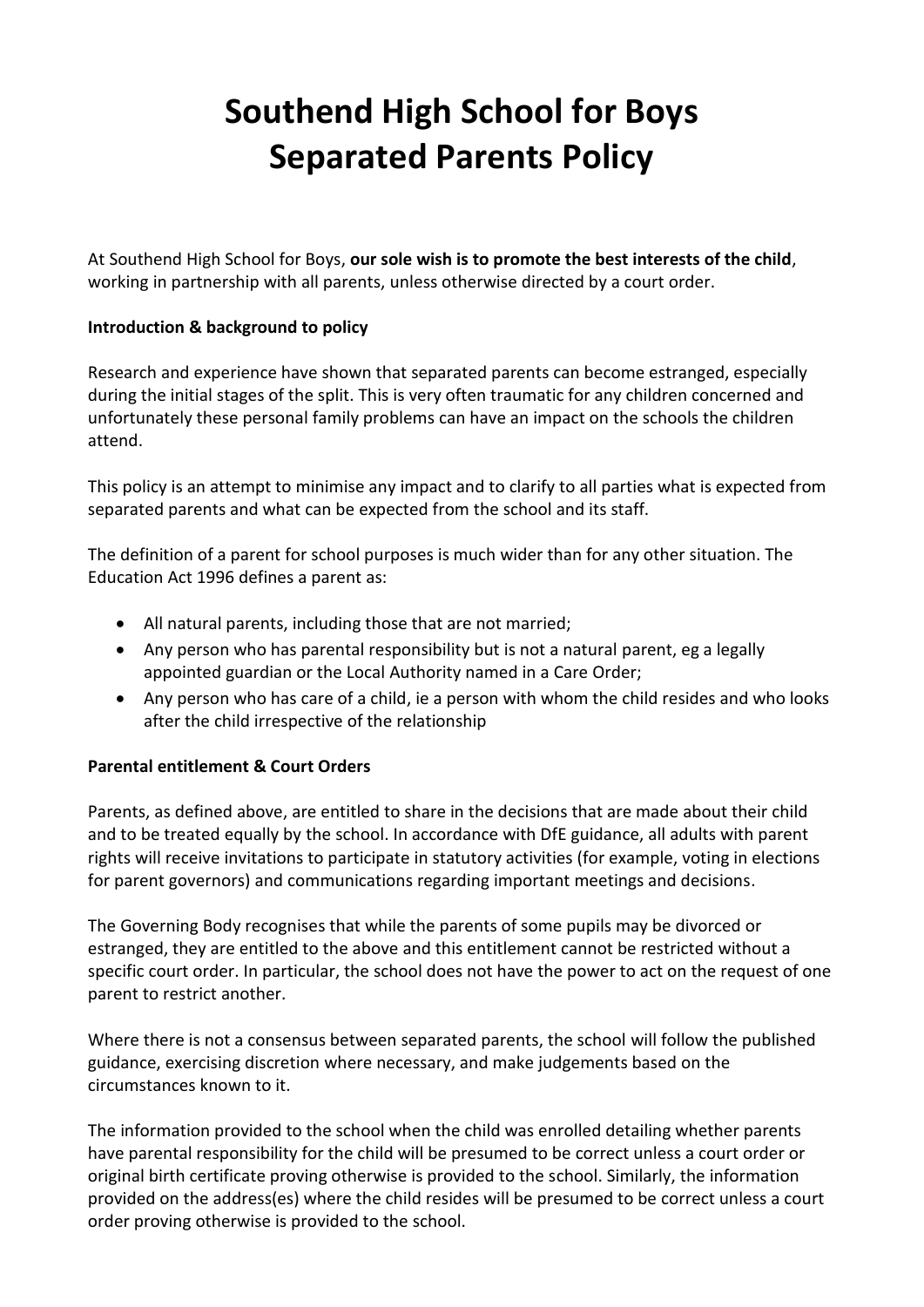# **Southend High School for Boys Separated Parents Policy**

At Southend High School for Boys, **our sole wish is to promote the best interests of the child**, working in partnership with all parents, unless otherwise directed by a court order.

# **Introduction & background to policy**

Research and experience have shown that separated parents can become estranged, especially during the initial stages of the split. This is very often traumatic for any children concerned and unfortunately these personal family problems can have an impact on the schools the children attend.

This policy is an attempt to minimise any impact and to clarify to all parties what is expected from separated parents and what can be expected from the school and its staff.

The definition of a parent for school purposes is much wider than for any other situation. The Education Act 1996 defines a parent as:

- All natural parents, including those that are not married;
- Any person who has parental responsibility but is not a natural parent, eg a legally appointed guardian or the Local Authority named in a Care Order;
- Any person who has care of a child, ie a person with whom the child resides and who looks after the child irrespective of the relationship

# **Parental entitlement & Court Orders**

Parents, as defined above, are entitled to share in the decisions that are made about their child and to be treated equally by the school. In accordance with DfE guidance, all adults with parent rights will receive invitations to participate in statutory activities (for example, voting in elections for parent governors) and communications regarding important meetings and decisions.

The Governing Body recognises that while the parents of some pupils may be divorced or estranged, they are entitled to the above and this entitlement cannot be restricted without a specific court order. In particular, the school does not have the power to act on the request of one parent to restrict another.

Where there is not a consensus between separated parents, the school will follow the published guidance, exercising discretion where necessary, and make judgements based on the circumstances known to it.

The information provided to the school when the child was enrolled detailing whether parents have parental responsibility for the child will be presumed to be correct unless a court order or original birth certificate proving otherwise is provided to the school. Similarly, the information provided on the address(es) where the child resides will be presumed to be correct unless a court order proving otherwise is provided to the school.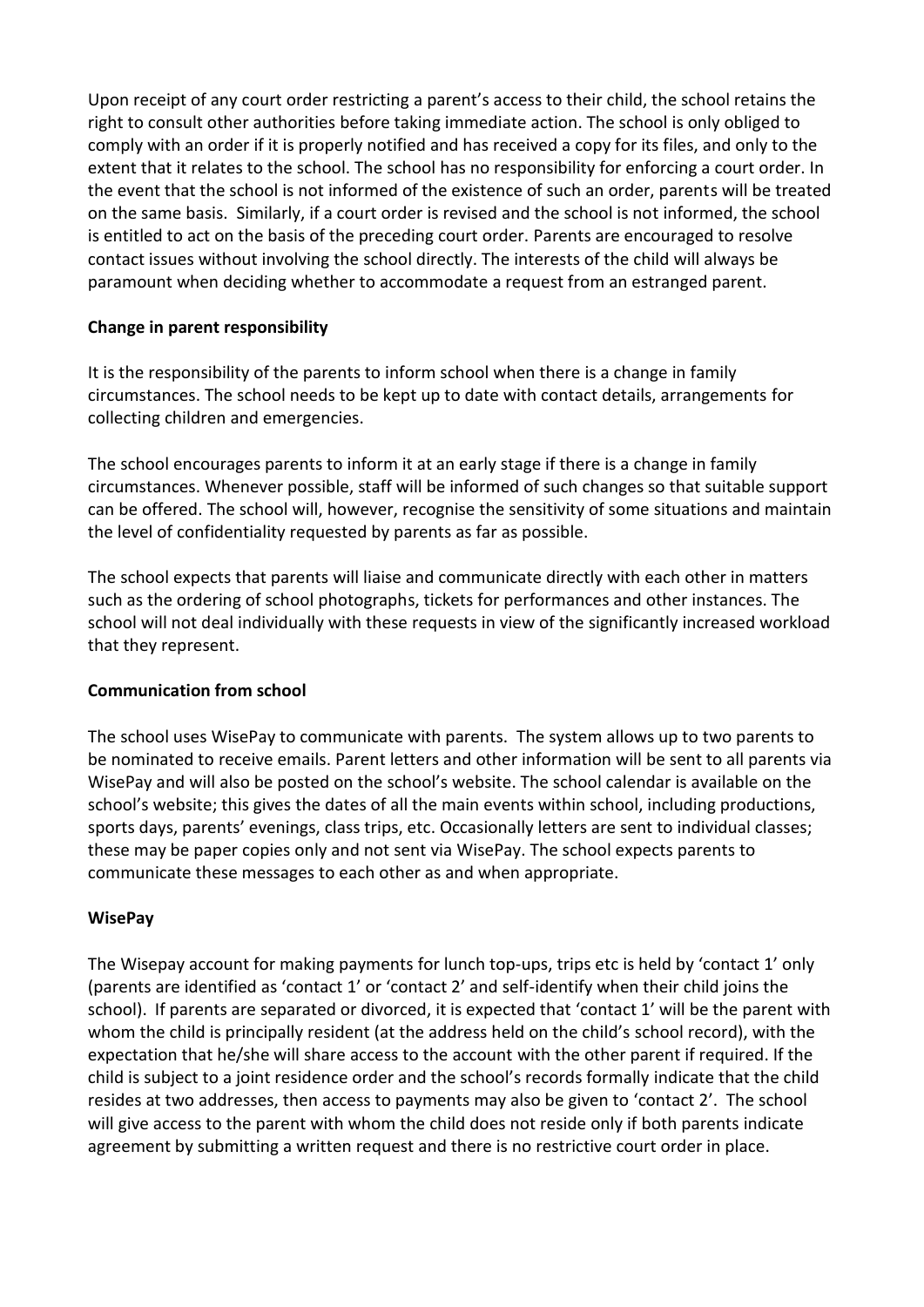Upon receipt of any court order restricting a parent's access to their child, the school retains the right to consult other authorities before taking immediate action. The school is only obliged to comply with an order if it is properly notified and has received a copy for its files, and only to the extent that it relates to the school. The school has no responsibility for enforcing a court order. In the event that the school is not informed of the existence of such an order, parents will be treated on the same basis. Similarly, if a court order is revised and the school is not informed, the school is entitled to act on the basis of the preceding court order. Parents are encouraged to resolve contact issues without involving the school directly. The interests of the child will always be paramount when deciding whether to accommodate a request from an estranged parent.

# **Change in parent responsibility**

It is the responsibility of the parents to inform school when there is a change in family circumstances. The school needs to be kept up to date with contact details, arrangements for collecting children and emergencies.

The school encourages parents to inform it at an early stage if there is a change in family circumstances. Whenever possible, staff will be informed of such changes so that suitable support can be offered. The school will, however, recognise the sensitivity of some situations and maintain the level of confidentiality requested by parents as far as possible.

The school expects that parents will liaise and communicate directly with each other in matters such as the ordering of school photographs, tickets for performances and other instances. The school will not deal individually with these requests in view of the significantly increased workload that they represent.

# **Communication from school**

The school uses WisePay to communicate with parents. The system allows up to two parents to be nominated to receive emails. Parent letters and other information will be sent to all parents via WisePay and will also be posted on the school's website. The school calendar is available on the school's website; this gives the dates of all the main events within school, including productions, sports days, parents' evenings, class trips, etc. Occasionally letters are sent to individual classes; these may be paper copies only and not sent via WisePay. The school expects parents to communicate these messages to each other as and when appropriate.

# **WisePay**

The Wisepay account for making payments for lunch top-ups, trips etc is held by 'contact 1' only (parents are identified as 'contact 1' or 'contact 2' and self-identify when their child joins the school). If parents are separated or divorced, it is expected that 'contact 1' will be the parent with whom the child is principally resident (at the address held on the child's school record), with the expectation that he/she will share access to the account with the other parent if required. If the child is subject to a joint residence order and the school's records formally indicate that the child resides at two addresses, then access to payments may also be given to 'contact 2'. The school will give access to the parent with whom the child does not reside only if both parents indicate agreement by submitting a written request and there is no restrictive court order in place.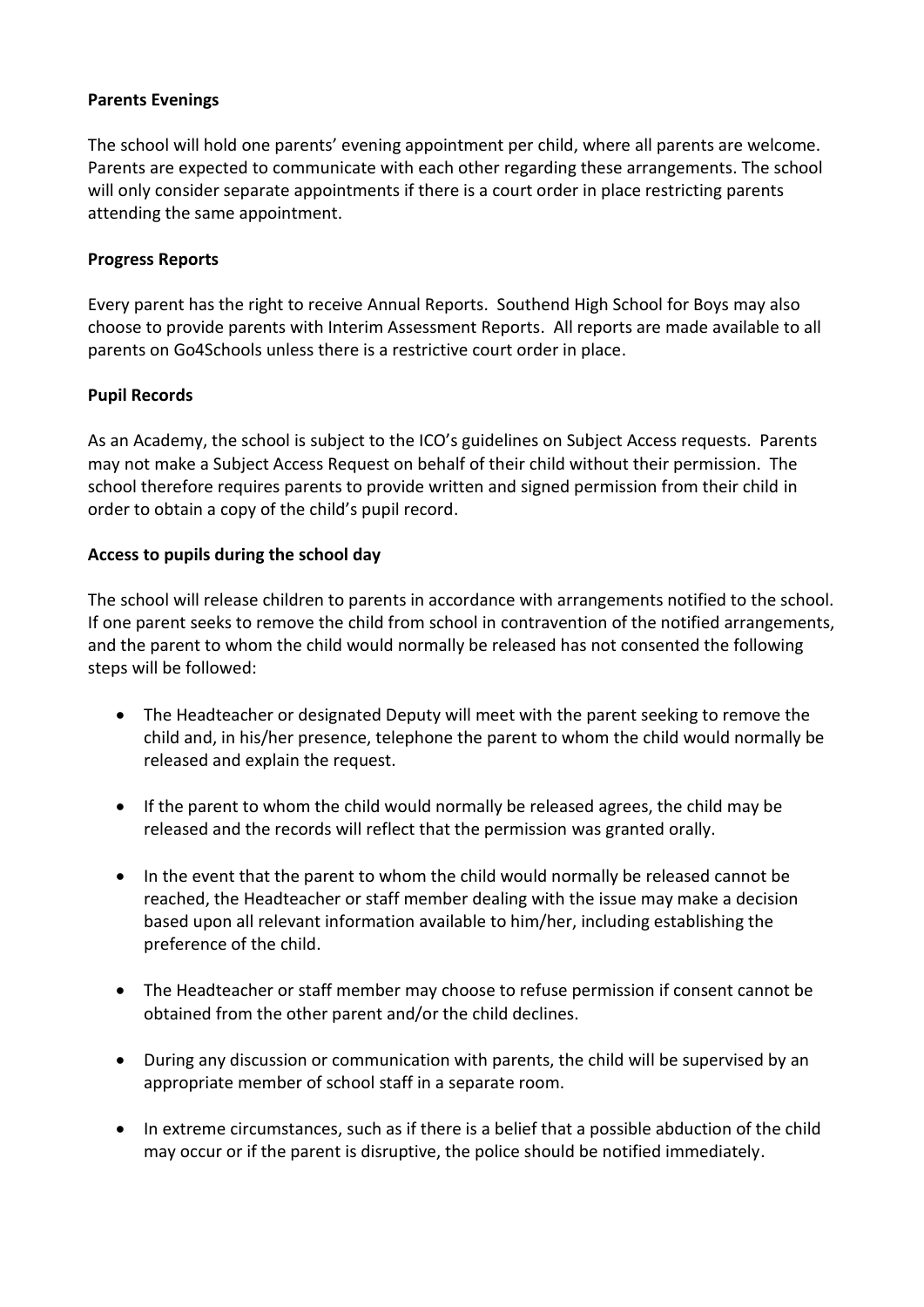### **Parents Evenings**

The school will hold one parents' evening appointment per child, where all parents are welcome. Parents are expected to communicate with each other regarding these arrangements. The school will only consider separate appointments if there is a court order in place restricting parents attending the same appointment.

### **Progress Reports**

Every parent has the right to receive Annual Reports. Southend High School for Boys may also choose to provide parents with Interim Assessment Reports. All reports are made available to all parents on Go4Schools unless there is a restrictive court order in place.

### **Pupil Records**

As an Academy, the school is subject to the ICO's guidelines on Subject Access requests. Parents may not make a Subject Access Request on behalf of their child without their permission. The school therefore requires parents to provide written and signed permission from their child in order to obtain a copy of the child's pupil record.

### **Access to pupils during the school day**

The school will release children to parents in accordance with arrangements notified to the school. If one parent seeks to remove the child from school in contravention of the notified arrangements, and the parent to whom the child would normally be released has not consented the following steps will be followed:

- The Headteacher or designated Deputy will meet with the parent seeking to remove the child and, in his/her presence, telephone the parent to whom the child would normally be released and explain the request.
- If the parent to whom the child would normally be released agrees, the child may be released and the records will reflect that the permission was granted orally.
- In the event that the parent to whom the child would normally be released cannot be reached, the Headteacher or staff member dealing with the issue may make a decision based upon all relevant information available to him/her, including establishing the preference of the child.
- The Headteacher or staff member may choose to refuse permission if consent cannot be obtained from the other parent and/or the child declines.
- During any discussion or communication with parents, the child will be supervised by an appropriate member of school staff in a separate room.
- In extreme circumstances, such as if there is a belief that a possible abduction of the child may occur or if the parent is disruptive, the police should be notified immediately.